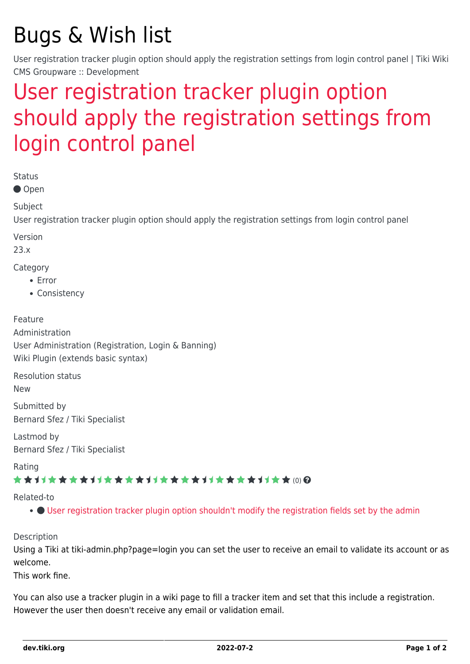# Bugs & Wish list

User registration tracker plugin option should apply the registration settings from login control panel | Tiki Wiki CMS Groupware :: Development

## [User registration tracker plugin option](https://dev.tiki.org/item7984-User-registration-tracker-plugin-option-should-apply-the-registration-settings-from-login-control-panel) [should apply the registration settings from](https://dev.tiki.org/item7984-User-registration-tracker-plugin-option-should-apply-the-registration-settings-from-login-control-panel) [login control panel](https://dev.tiki.org/item7984-User-registration-tracker-plugin-option-should-apply-the-registration-settings-from-login-control-panel)

Status

● Open

Subject

User registration tracker plugin option should apply the registration settings from login control panel

Version

23.x

Category

- Error
- Consistency

Feature Administration User Administration (Registration, Login & Banning) Wiki Plugin (extends basic syntax)

Resolution status

New

Submitted by Bernard Sfez / Tiki Specialist

Lastmod by Bernard Sfez / Tiki Specialist

Rating

#### \*\*\*\*\*\*\*\*\*\*\*\*\*\*\*\*\*\*\*\*\*\*\*\*\*\*\*\*\*\*

Related-to

[User registration tracker plugin option shouldn't modify the registration fields set by the admin](https://dev.tiki.org/item7961-User-registration-tracker-plugin-option-shouldn-t-modify-the-registration-fields-set-by-the-admin)

Description

Using a Tiki at tiki-admin.php?page=login you can set the user to receive an email to validate its account or as welcome.

This work fine.

You can also use a tracker plugin in a wiki page to fill a tracker item and set that this include a registration. However the user then doesn't receive any email or validation email.